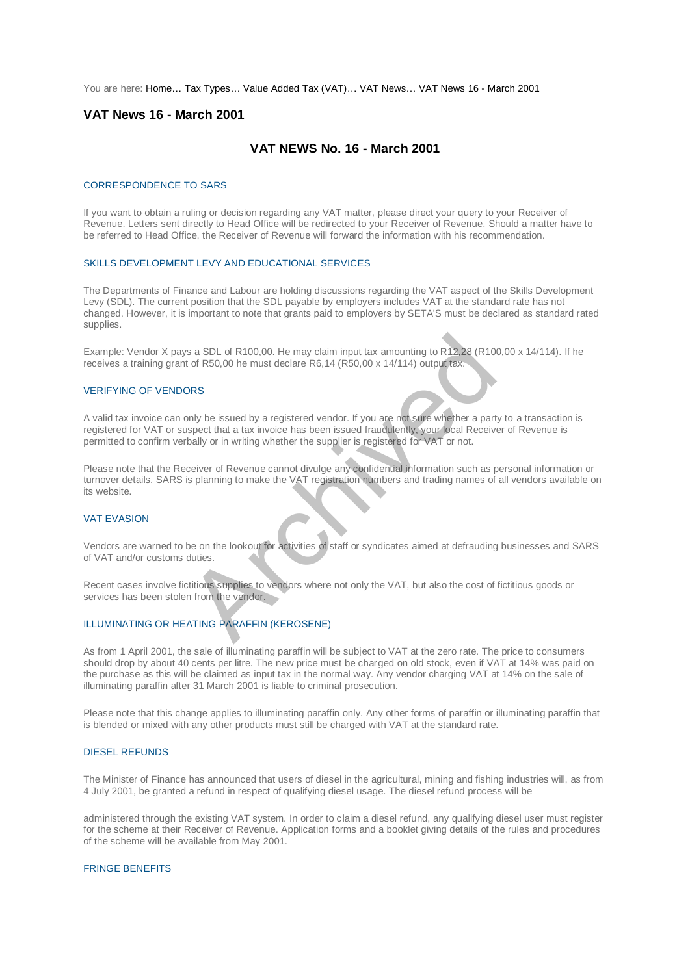You are here: [Home…](http://196.38.114.171/home.asp?pid=1) [Tax Types…](http://196.38.114.171/home.asp?pid=161) [Value Added Tax \(VAT\)…](http://196.38.114.171/home.asp?pid=194) [VAT News…](http://196.38.114.171/home.asp?pid=4722) [VAT News 16 - March 2001](http://196.38.114.171/home.asp?pid=47323) 

# **VAT News 16 - March 2001**

# **VAT NEWS No. 16 - March 2001**

#### CORRESPONDENCE TO SARS

If you want to obtain a ruling or decision regarding any VAT matter, please direct your query to your Receiver of Revenue. Letters sent directly to Head Office will be redirected to your Receiver of Revenue. Should a matter have to be referred to Head Office, the Receiver of Revenue will forward the information with his recommendation.

#### SKILLS DEVELOPMENT LEVY AND EDUCATIONAL SERVICES

The Departments of Finance and Labour are holding discussions regarding the VAT aspect of the Skills Development Levy (SDL). The current position that the SDL payable by employers includes VAT at the standard rate has not changed. However, it is important to note that grants paid to employers by SETA'S must be declared as standard rated supplies.

Example: Vendor X pays a SDL of R100,00. He may claim input tax amounting to R12,28 (R100,00 x 14/114). If he receives a training grant of R50,00 he must declare R6,14 (R50,00 x 14/114) output tax.

## VERIFYING OF VENDORS

A valid tax invoice can only be issued by a registered vendor. If you are not sure whether a party to a transaction is registered for VAT or suspect that a tax invoice has been issued fraudulently, your local Receiver of Revenue is permitted to confirm verbally or in writing whether the supplier is registered for VAT or not.

Please note that the Receiver of Revenue cannot divulge any confidential information such as personal information or turnover details. SARS is planning to make the VAT registration numbers and trading names of all vendors available on its website. It is a SDL of R100,00. He may claim input tax amounting to R12,28 (R10<br>
Archived to R50,00 he must declare R6,14 (R50,00 x 14/114) output tax.<br>
ORS<br>
Sonly be issued by a registered vendor. If you are not sure whether a pa

### VAT EVASION

Vendors are warned to be on the lookout for activities of staff or syndicates aimed at defrauding businesses and SARS of VAT and/or customs duties.

Recent cases involve fictitious supplies to vendors where not only the VAT, but also the cost of fictitious goods or services has been stolen from the vendor.

### ILLUMINATING OR HEATING PARAFFIN (KEROSENE)

As from 1 April 2001, the sale of illuminating paraffin will be subject to VAT at the zero rate. The price to consumers should drop by about 40 cents per litre. The new price must be charged on old stock, even if VAT at 14% was paid on the purchase as this will be claimed as input tax in the normal way. Any vendor charging VAT at 14% on the sale of illuminating paraffin after 31 March 2001 is liable to criminal prosecution.

Please note that this change applies to illuminating paraffin only. Any other forms of paraffin or illuminating paraffin that is blended or mixed with any other products must still be charged with VAT at the standard rate.

#### DIESEL REFUNDS

The Minister of Finance has announced that users of diesel in the agricultural, mining and fishing industries will, as from 4 July 2001, be granted a refund in respect of qualifying diesel usage. The diesel refund process will be

administered through the existing VAT system. In order to claim a diesel refund, any qualifying diesel user must register for the scheme at their Receiver of Revenue. Application forms and a booklet giving details of the rules and procedures of the scheme will be available from May 2001.

### FRINGE BENEFITS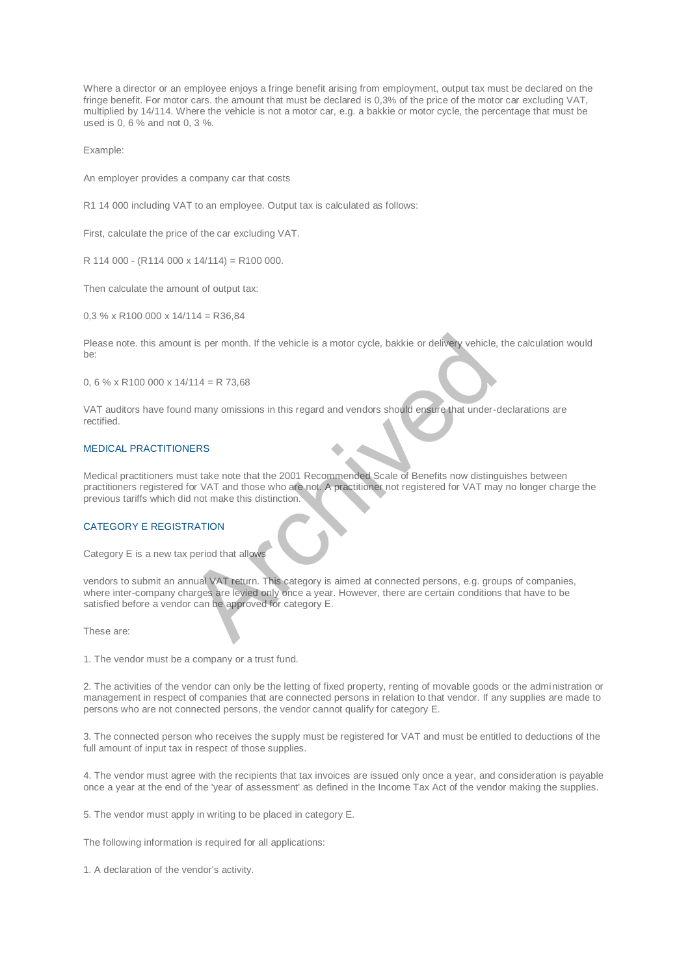Where a director or an employee enjoys a fringe benefit arising from employment, output tax must be declared on the fringe benefit. For motor cars. the amount that must be declared is 0,3% of the price of the motor car excluding VAT, multiplied by 14/114. Where the vehicle is not a motor car, e.g. a bakkie or motor cycle, the percentage that must be used is 0, 6 % and not 0, 3 %.

Example:

An employer provides a company car that costs

R1 14 000 including VAT to an employee. Output tax is calculated as follows:

First, calculate the price of the car excluding VAT.

 $R$  114 000 - (R114 000 x 14/114) = R100 000.

Then calculate the amount of output tax:

 $0.3$  % x R100 000 x 14/114 = R36.84

Please note. this amount is per month. If the vehicle is a motor cycle, bakkie or delivery vehicle, the calculation would be:

0, 6 % x R100 000 x  $14/114 = R$  73,68

VAT auditors have found many omissions in this regard and vendors should ensure that under-declarations are rectified.

## MEDICAL PRACTITIONERS

Medical practitioners must take note that the 2001 Recommended Scale of Benefits now distinguishes between practitioners registered for VAT and those who are not. A practitioner not registered for VAT may no longer charge the previous tariffs which did not make this distinction.

## CATEGORY E REGISTRATION

Category E is a new tax period that allows

vendors to submit an annual VAT return. This category is aimed at connected persons, e.g. groups of companies, where inter-company charges are levied only once a year. However, there are certain conditions that have to be satisfied before a vendor can be approved for category E. V114 = R 73,68<br>
V114 = R 73,68<br>
Md many omissions in this regard and vendors should ensure that under-<br>
VERS<br>
NERS<br>
NERS<br>
NERS<br>
NERS<br>
NERS<br>
NERS<br>
NERS<br>
NERS<br>
NERS<br>
NERS<br>
NERS<br>
NERS<br>
NERS<br>
NERS<br>
NERS<br>
NERS<br>
NERS<br>
NERTION<br>
N

These are:

1. The vendor must be a company or a trust fund.

2. The activities of the vendor can only be the letting of fixed property, renting of movable goods or the administration or management in respect of companies that are connected persons in relation to that vendor. If any supplies are made to persons who are not connected persons, the vendor cannot qualify for category E.

3. The connected person who receives the supply must be registered for VAT and must be entitled to deductions of the full amount of input tax in respect of those supplies.

4. The vendor must agree with the recipients that tax invoices are issued only once a year, and consideration is payable once a year at the end of the 'year of assessment' as defined in the Income Tax Act of the vendor making the supplies.

5. The vendor must apply in writing to be placed in category E.

The following information is required for all applications:

1. A declaration of the vendor's activity.